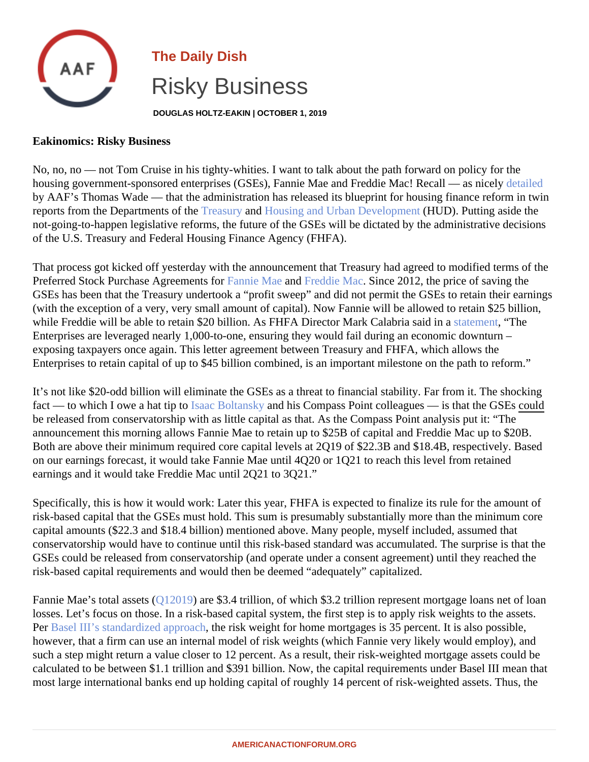## The Daily Dish Risky Business

DOUGLAS HOLTZ-EAKIN | OCTOBER 1, 2019

## Eakinomics: Risky Business

No, no, no — not Tom Cruise in his tighty-whities. I want to talk about the path forward on policy for the housing government-sponsored enterprises (GSEs), Fannie Mae and Freddie Mac! Recall — [detailed](�� h t t p s : / / w w w . a m e r i c a n a c t i o n f o r u m . o r g / i n s i g h t / t r e a s u r y - a n d - h u d - r e l e a s e - s w e e p i n g - b l u e p r i n t - t o w a r d - c o m p r e h e n s i v e - h o u s i n g - f i n a n c e - r e f o r m /)ly by AAF's Thomas Wade — that the administration has released its blueprint for housing finance reform in twin reports from the Departments of the asury an[d Housing and Urban Developme](�� h t t p s : / / h o m e . t r e a s u r y . g o v / s y s t e m / f i l e s / 1 3 6 / H U D - H o u s i n g - F i n a n c e - R e f o r m - P l a n - S e p t e m b e r - 2 0 1 9 . p d f)ntHUD). Putting aside the not-going-to-happen legislative reforms, the future of the GSEs will be dictated by the administrative decision of the U.S. Treasury and Federal Housing Finance Agency (FHFA).

That process got kicked off yesterday with the announcement that Treasury had agreed to modified terms of the Preferred Stock Purchase Agreements for the Macand Freddie MacSince 2012, the price of saving the GSEs has been that the Treasury undertook a "profit sweep" and did not permit the GSEs to retain their earni (with the exception of a very, very small amount of capital). Now Fannie will be allowed to retain \$25 billion, while Freddie will be able to retain \$20 billion. As FHFA Director Mark Calabria said internet "The Enterprises are leveraged nearly 1,000-to-one, ensuring they would fail during an economic downturn – exposing taxpayers once again. This letter agreement between Treasury and FHFA, which allows the Enterprises to retain capital of up to \$45 billion combined, is an important milestone on the path to reform."

It's not like \$20-odd billion will eliminate the GSEs as a threat to financial stability. Far from it. The shocking fact— to which I owe a hat tip to acc Boltansky and his Compass Point colleagues — is that the GO Eld be released from conservatorship with as little capital as that. As the Compass Point analysis put it: "The announcement this morning allows Fannie Mae to retain up to \$25B of capital and Freddie Mac up to \$20B. Both are above their minimum required core capital levels at 2Q19 of \$22.3B and \$18.4B, respectively. Based on our earnings forecast, it would take Fannie Mae until 4Q20 or 1Q21 to reach this level from retained earnings and it would take Freddie Mac until 2Q21 to 3Q21."

Specifically, this is how it would work: Later this year, FHFA is expected to finalize its rule for the amount of risk-based capital that the GSEs must hold. This sum is presumably substantially more than the minimum cor capital amounts (\$22.3 and \$18.4 billion) mentioned above. Many people, myself included, assumed that conservatorship would have to continue until this risk-based standard was accumulated. The surprise is that t GSEs could be released from conservatorship (and operate under a consent agreement) until they reached the risk-based capital requirements and would then be deemed "adequately" capitalized.

Fannie Mae's total asset 3(2019) are \$3.4 trillion, of which \$3.2 trillion represent mortgage loans net of loan losses. Let's focus on those. In a risk-based capital system, the first step is to apply risk weights to the assets Per [Basel III's standardized approa](�� h t t p s : / / w w w . b i s . o r g / b a s e l _ f r a m e w o r k / c h a p t e r / C R E / 2 0 . h t m ? i n f o r c e = 2 0 1 9 0 1 0 1)dhe risk weight for home mortgages is 35 percent. It is also possible, however, that a firm can use an internal model of risk weights (which Fannie very likely would employ), and such a step might return a value closer to 12 percent. As a result, their risk-weighted mortgage assets could b calculated to be between \$1.1 trillion and \$391 billion. Now, the capital requirements under Basel III mean tha most large international banks end up holding capital of roughly 14 percent of risk-weighted assets. Thus, the